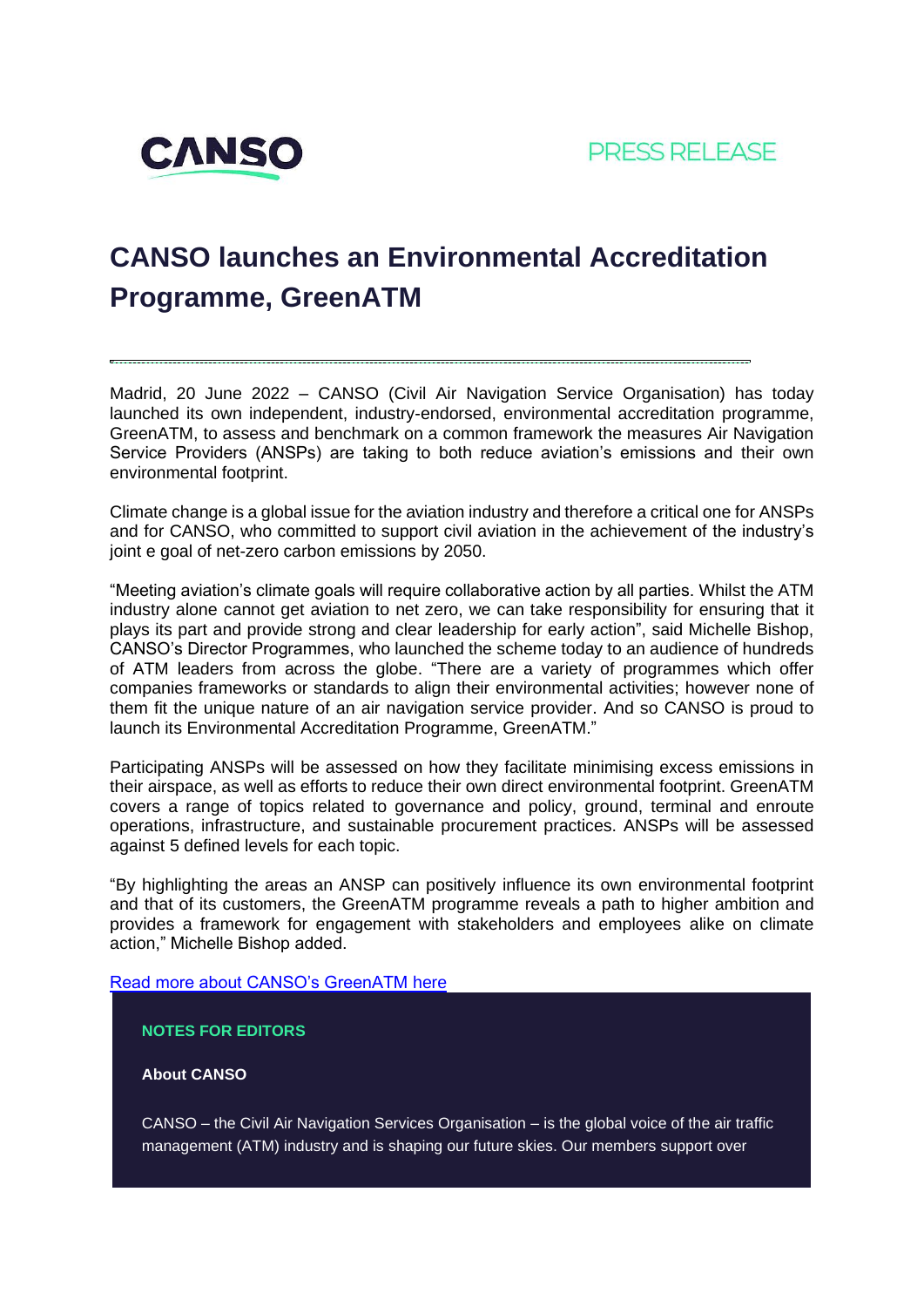

# **CANSO launches an Environmental Accreditation Programme, GreenATM**

Madrid, 20 June 2022 – CANSO (Civil Air Navigation Service Organisation) has today launched its own independent, industry-endorsed, environmental accreditation programme, GreenATM, to assess and benchmark on a common framework the measures Air Navigation Service Providers (ANSPs) are taking to both reduce aviation's emissions and their own environmental footprint.

Climate change is a global issue for the aviation industry and therefore a critical one for ANSPs and for CANSO, who committed to support civil aviation in the achievement of the industry's joint e goal of net-zero carbon emissions by 2050.

"Meeting aviation's climate goals will require collaborative action by all parties. Whilst the ATM industry alone cannot get aviation to net zero, we can take responsibility for ensuring that it plays its part and provide strong and clear leadership for early action", said Michelle Bishop, CANSO's Director Programmes, who launched the scheme today to an audience of hundreds of ATM leaders from across the globe. "There are a variety of programmes which offer companies frameworks or standards to align their environmental activities; however none of them fit the unique nature of an air navigation service provider. And so CANSO is proud to launch its Environmental Accreditation Programme, GreenATM."

Participating ANSPs will be assessed on how they facilitate minimising excess emissions in their airspace, as well as efforts to reduce their own direct environmental footprint. GreenATM covers a range of topics related to governance and policy, ground, terminal and enroute operations, infrastructure, and sustainable procurement practices. ANSPs will be assessed against 5 defined levels for each topic.

"By highlighting the areas an ANSP can positively influence its own environmental footprint and that of its customers, the GreenATM programme reveals a path to higher ambition and provides a framework for engagement with stakeholders and employees alike on climate action," Michelle Bishop added.

[Read more about CANSO's GreenATM here](https://canso.org/our-focus/canso-green-atm/)

## **NOTES FOR EDITORS**

### **About CANSO**

CANSO – the Civil Air Navigation Services Organisation – is the global voice of the air traffic management (ATM) industry and is shaping our future skies. Our members support over